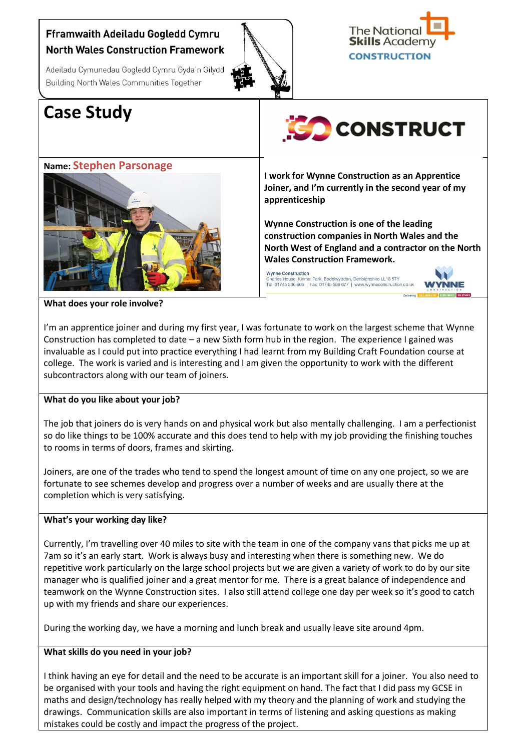# Fframwaith Adeiladu Gogledd Cymru **North Wales Construction Framework**

Adeiladu Cymunedau Gogledd Cymru Gyda'n Gilydd Building North Wales Communities Together





# **Case Study**



## **Name: Stephen Parsonage**



**I work for Wynne Construction as an Apprentice Joiner, and I'm currently in the second year of my apprenticeship**

**Wynne Construction is one of the leading construction companies in North Wales and the North West of England and a contractor on the North Wales Construction Framework.**

Wynne Construction<br>Charles House, Kinmel Park, Bodelwyddan, Denbighshire LL18 5TY<br>Tel: 01745 586 666 | Fax: 01745 586 677 | www.wynneconstruction.co.uk



**What does your role involve?**

I'm an apprentice joiner and during my first year, I was fortunate to work on the largest scheme that Wynne Construction has completed to date – a new Sixth form hub in the region. The experience I gained was invaluable as I could put into practice everything I had learnt from my Building Craft Foundation course at college. The work is varied and is interesting and I am given the opportunity to work with the different subcontractors along with our team of joiners.

## **What do you like about your job?**

The job that joiners do is very hands on and physical work but also mentally challenging. I am a perfectionist so do like things to be 100% accurate and this does tend to help with my job providing the finishing touches to rooms in terms of doors, frames and skirting.

Joiners, are one of the trades who tend to spend the longest amount of time on any one project, so we are fortunate to see schemes develop and progress over a number of weeks and are usually there at the completion which is very satisfying.

## **What's your working day like?**

Currently, I'm travelling over 40 miles to site with the team in one of the company vans that picks me up at 7am so it's an early start. Work is always busy and interesting when there is something new. We do repetitive work particularly on the large school projects but we are given a variety of work to do by our site manager who is qualified joiner and a great mentor for me. There is a great balance of independence and teamwork on the Wynne Construction sites. I also still attend college one day per week so it's good to catch up with my friends and share our experiences.

During the working day, we have a morning and lunch break and usually leave site around 4pm.

## **What skills do you need in your job?**

I think having an eye for detail and the need to be accurate is an important skill for a joiner. You also need to be organised with your tools and having the right equipment on hand. The fact that I did pass my GCSE in maths and design/technology has really helped with my theory and the planning of work and studying the drawings. Communication skills are also important in terms of listening and asking questions as making mistakes could be costly and impact the progress of the project.